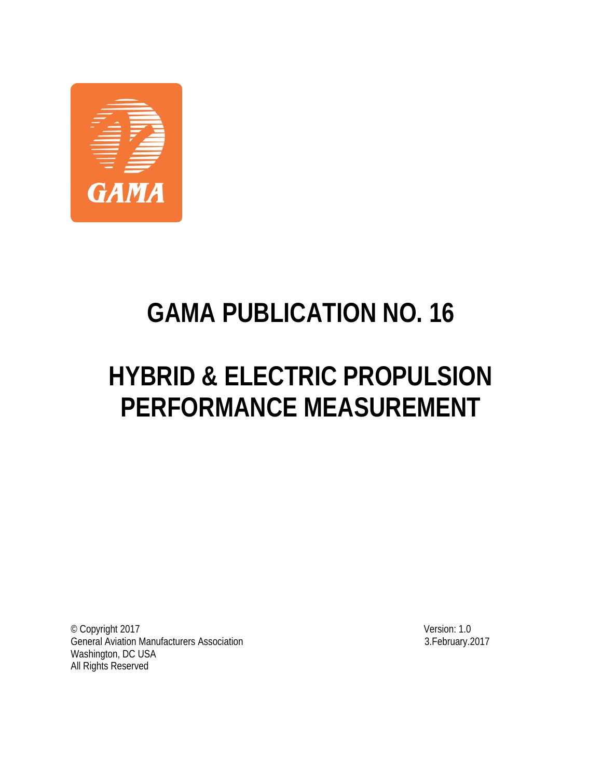

# **GAMA PUBLICATION NO. 16**

# **HYBRID & ELECTRIC PROPULSION PERFORMANCE MEASUREMENT**

© Copyright 2017 Version: 1.0 General Aviation Manufacturers Association Washington, DC USA All Rights Reserved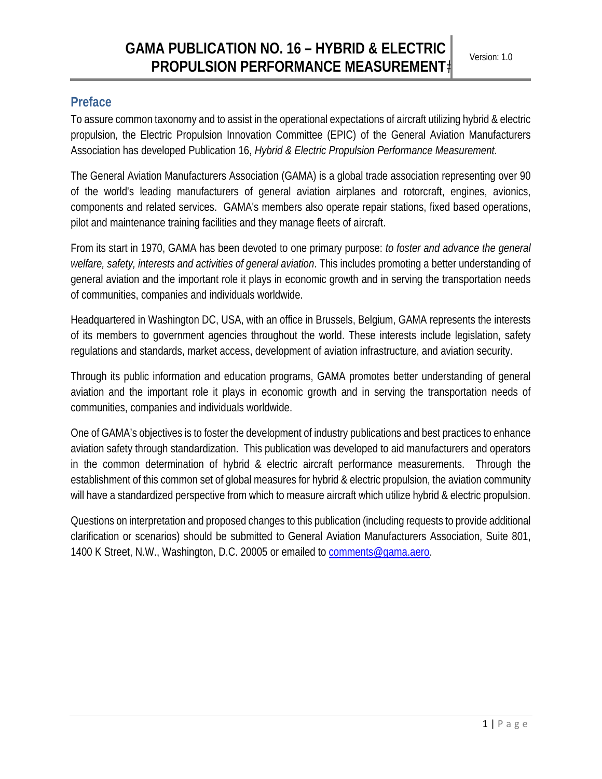## **Preface**

To assure common taxonomy and to assist in the operational expectations of aircraft utilizing hybrid & electric propulsion, the Electric Propulsion Innovation Committee (EPIC) of the General Aviation Manufacturers Association has developed Publication 16, *Hybrid & Electric Propulsion Performance Measurement.*

The General Aviation Manufacturers Association (GAMA) is a global trade association representing over 90 of the world's leading manufacturers of general aviation airplanes and rotorcraft, engines, avionics, components and related services. GAMA's members also operate repair stations, fixed based operations, pilot and maintenance training facilities and they manage fleets of aircraft.

From its start in 1970, GAMA has been devoted to one primary purpose: *to foster and advance the general welfare, safety, interests and activities of general aviation*. This includes promoting a better understanding of general aviation and the important role it plays in economic growth and in serving the transportation needs of communities, companies and individuals worldwide.

Headquartered in Washington DC, USA, with an office in Brussels, Belgium, GAMA represents the interests of its members to government agencies throughout the world. These interests include legislation, safety regulations and standards, market access, development of aviation infrastructure, and aviation security.

Through its public information and education programs, GAMA promotes better understanding of general aviation and the important role it plays in economic growth and in serving the transportation needs of communities, companies and individuals worldwide.

One of GAMA's objectives is to foster the development of industry publications and best practices to enhance aviation safety through standardization. This publication was developed to aid manufacturers and operators in the common determination of hybrid & electric aircraft performance measurements. Through the establishment of this common set of global measures for hybrid & electric propulsion, the aviation community will have a standardized perspective from which to measure aircraft which utilize hybrid & electric propulsion.

Questions on interpretation and proposed changes to this publication (including requests to provide additional clarification or scenarios) should be submitted to General Aviation Manufacturers Association, Suite 801, 1400 K Street, N.W., Washington, D.C. 20005 or emailed to comments@gama.aero.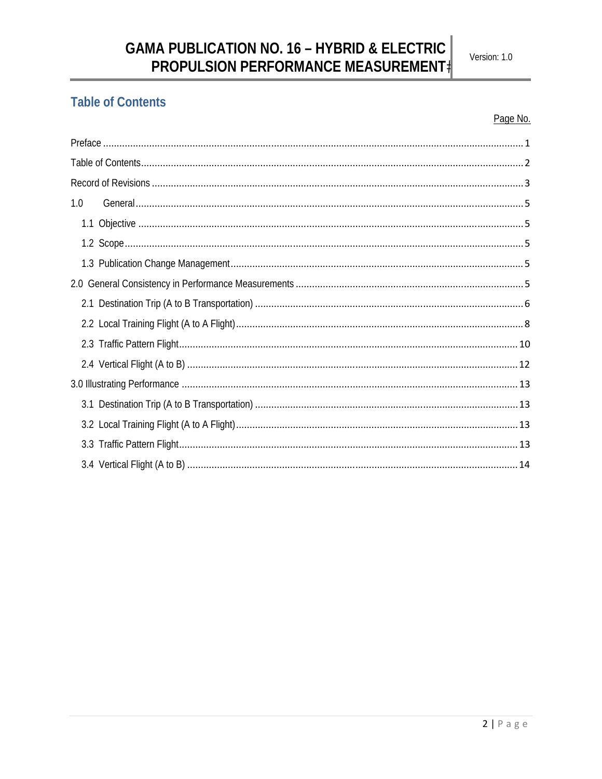# **Table of Contents**

#### Page No.

| 1.0 |  |  |  |
|-----|--|--|--|
|     |  |  |  |
|     |  |  |  |
|     |  |  |  |
| 2.0 |  |  |  |
|     |  |  |  |
|     |  |  |  |
|     |  |  |  |
|     |  |  |  |
|     |  |  |  |
|     |  |  |  |
|     |  |  |  |
|     |  |  |  |
|     |  |  |  |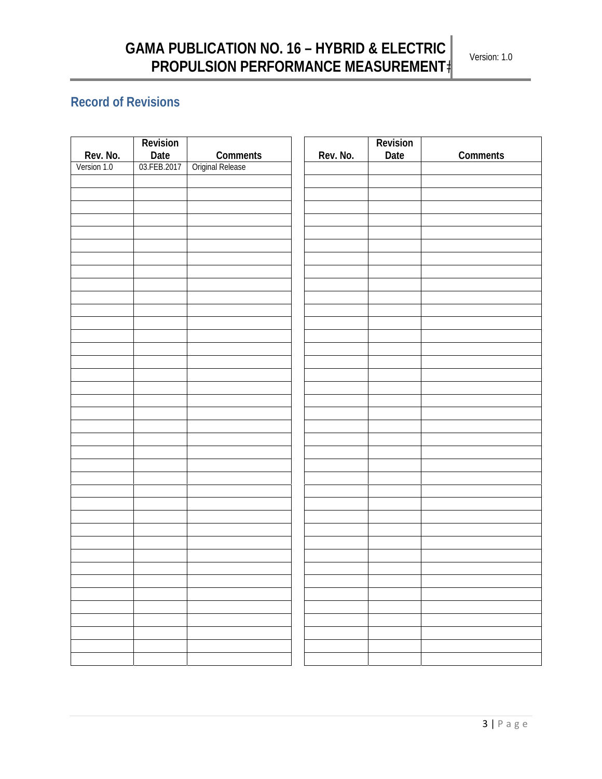# **Record of Revisions**

|             | Revision            |                  |          | Revision |          |
|-------------|---------------------|------------------|----------|----------|----------|
| Rev. No.    | Date<br>03.FEB.2017 | Comments         | Rev. No. | Date     | Comments |
| Version 1.0 |                     | Original Release |          |          |          |
|             |                     |                  |          |          |          |
|             |                     |                  |          |          |          |
|             |                     |                  |          |          |          |
|             |                     |                  |          |          |          |
|             |                     |                  |          |          |          |
|             |                     |                  |          |          |          |
|             |                     |                  |          |          |          |
|             |                     |                  |          |          |          |
|             |                     |                  |          |          |          |
|             |                     |                  |          |          |          |
|             |                     |                  |          |          |          |
|             |                     |                  |          |          |          |
|             |                     |                  |          |          |          |
|             |                     |                  |          |          |          |
|             |                     |                  |          |          |          |
|             |                     |                  |          |          |          |
|             |                     |                  |          |          |          |
|             |                     |                  |          |          |          |
|             |                     |                  |          |          |          |
|             |                     |                  |          |          |          |
|             |                     |                  |          |          |          |
|             |                     |                  |          |          |          |
|             |                     |                  |          |          |          |
|             |                     |                  |          |          |          |
|             |                     |                  |          |          |          |
|             |                     |                  |          |          |          |
|             |                     |                  |          |          |          |
|             |                     |                  |          |          |          |
|             |                     |                  |          |          |          |
|             |                     |                  |          |          |          |
|             |                     |                  |          |          |          |
|             |                     |                  |          |          |          |
|             |                     |                  |          |          |          |
|             |                     |                  |          |          |          |
|             |                     |                  |          |          |          |
|             |                     |                  |          |          |          |
|             |                     |                  |          |          |          |
|             |                     |                  |          |          |          |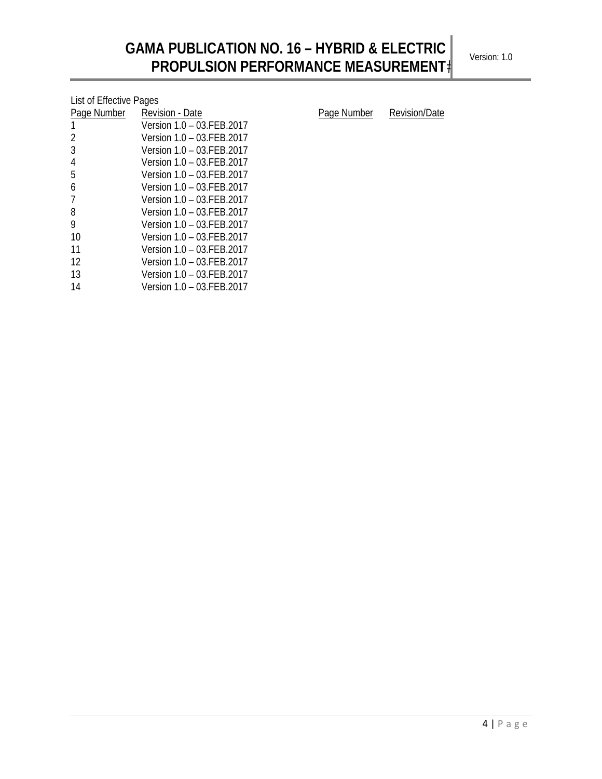| List of Effective Pages |                           |  |  |  |  |
|-------------------------|---------------------------|--|--|--|--|
| Page Number             | Revision - Date           |  |  |  |  |
| 1                       | Version 1.0 - 03.FEB.2017 |  |  |  |  |
| 2                       | Version 1.0 - 03.FEB.2017 |  |  |  |  |
| 3                       | Version 1.0 - 03 FFB 2017 |  |  |  |  |
| 4                       | Version 1.0 - 03 FFB 2017 |  |  |  |  |
| 5                       | Version 1.0 - 03.FEB.2017 |  |  |  |  |
| 6                       | Version 1.0 - 03.FEB.2017 |  |  |  |  |
| 7                       | Version 1.0 - 03 FFB 2017 |  |  |  |  |
| 8                       | Version 1.0 – 03 FFB 2017 |  |  |  |  |
| 9                       | Version 1.0 - 03.FEB.2017 |  |  |  |  |
| 10                      | Version 1.0 - 03.FEB.2017 |  |  |  |  |
| 11                      | Version 1.0 - 03 FFB 2017 |  |  |  |  |
| 12                      | Version 1.0 - 03.FEB.2017 |  |  |  |  |
| 13                      | Version 1.0 - 03.FEB.2017 |  |  |  |  |
| 14                      | Version 1.0 - 03.FEB.2017 |  |  |  |  |

Page Number Revision/Date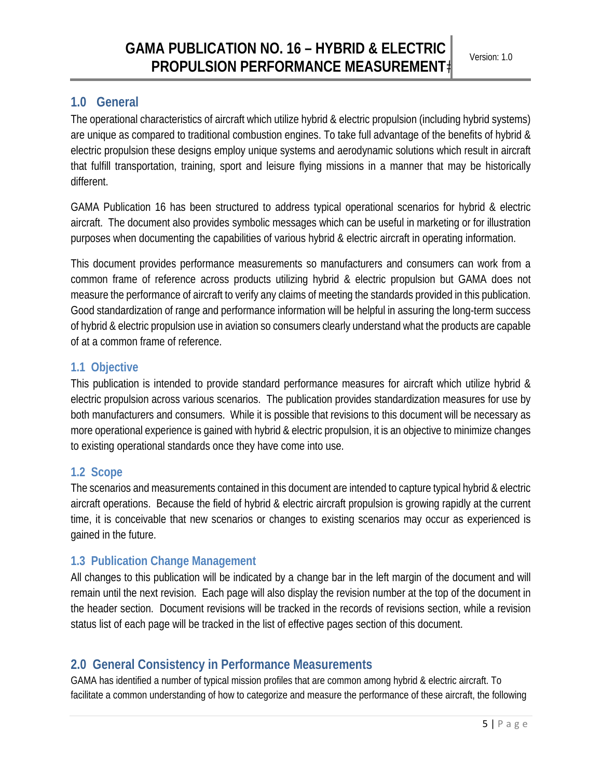## **1.0 General**

The operational characteristics of aircraft which utilize hybrid & electric propulsion (including hybrid systems) are unique as compared to traditional combustion engines. To take full advantage of the benefits of hybrid & electric propulsion these designs employ unique systems and aerodynamic solutions which result in aircraft that fulfill transportation, training, sport and leisure flying missions in a manner that may be historically different.

GAMA Publication 16 has been structured to address typical operational scenarios for hybrid & electric aircraft. The document also provides symbolic messages which can be useful in marketing or for illustration purposes when documenting the capabilities of various hybrid & electric aircraft in operating information.

This document provides performance measurements so manufacturers and consumers can work from a common frame of reference across products utilizing hybrid & electric propulsion but GAMA does not measure the performance of aircraft to verify any claims of meeting the standards provided in this publication. Good standardization of range and performance information will be helpful in assuring the long-term success of hybrid & electric propulsion use in aviation so consumers clearly understand what the products are capable of at a common frame of reference.

#### **1.1 Objective**

This publication is intended to provide standard performance measures for aircraft which utilize hybrid & electric propulsion across various scenarios. The publication provides standardization measures for use by both manufacturers and consumers. While it is possible that revisions to this document will be necessary as more operational experience is gained with hybrid & electric propulsion, it is an objective to minimize changes to existing operational standards once they have come into use.

#### **1.2 Scope**

The scenarios and measurements contained in this document are intended to capture typical hybrid & electric aircraft operations. Because the field of hybrid & electric aircraft propulsion is growing rapidly at the current time, it is conceivable that new scenarios or changes to existing scenarios may occur as experienced is gained in the future.

## **1.3 Publication Change Management**

All changes to this publication will be indicated by a change bar in the left margin of the document and will remain until the next revision. Each page will also display the revision number at the top of the document in the header section. Document revisions will be tracked in the records of revisions section, while a revision status list of each page will be tracked in the list of effective pages section of this document.

## **2.0 General Consistency in Performance Measurements**

GAMA has identified a number of typical mission profiles that are common among hybrid & electric aircraft. To facilitate a common understanding of how to categorize and measure the performance of these aircraft, the following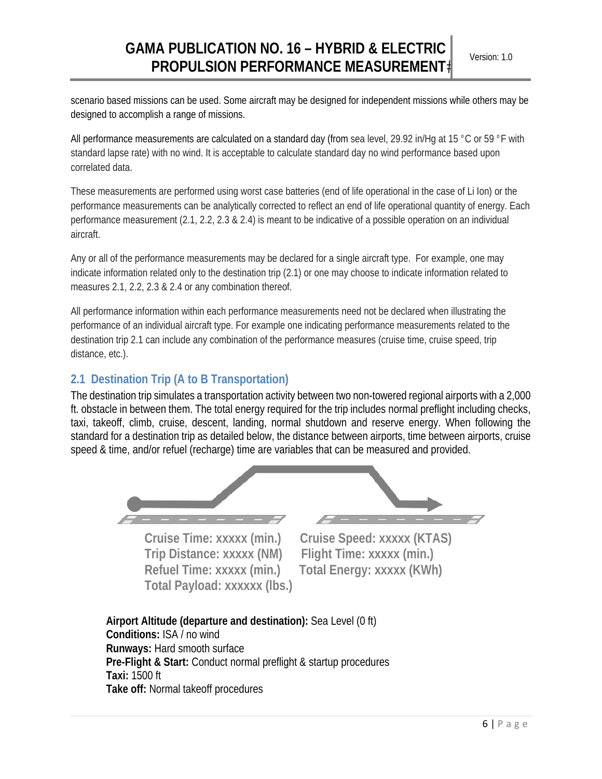scenario based missions can be used. Some aircraft may be designed for independent missions while others may be designed to accomplish a range of missions.

All performance measurements are calculated on a standard day (from sea level, 29.92 in/Hg at 15 °C or 59 °F with standard lapse rate) with no wind. It is acceptable to calculate standard day no wind performance based upon correlated data.

These measurements are performed using worst case batteries (end of life operational in the case of Li Ion) or the performance measurements can be analytically corrected to reflect an end of life operational quantity of energy. Each performance measurement (2.1, 2.2, 2.3 & 2.4) is meant to be indicative of a possible operation on an individual aircraft.

Any or all of the performance measurements may be declared for a single aircraft type. For example, one may indicate information related only to the destination trip (2.1) or one may choose to indicate information related to measures 2.1, 2.2, 2.3 & 2.4 or any combination thereof.

All performance information within each performance measurements need not be declared when illustrating the performance of an individual aircraft type. For example one indicating performance measurements related to the destination trip 2.1 can include any combination of the performance measures (cruise time, cruise speed, trip distance, etc.).

#### **2.1 Destination Trip (A to B Transportation)**

The destination trip simulates a transportation activity between two non-towered regional airports with a 2,000 ft. obstacle in between them. The total energy required for the trip includes normal preflight including checks, taxi, takeoff, climb, cruise, descent, landing, normal shutdown and reserve energy. When following the standard for a destination trip as detailed below, the distance between airports, time between airports, cruise speed & time, and/or refuel (recharge) time are variables that can be measured and provided.



**Trip Distance: xxxxx (NM) Flight Time: xxxxx (min.) Total Payload: xxxxxx (lbs.)** 

**Cruise Time: xxxxx (min.) Cruise Speed: xxxxx (KTAS) Refuel Time: xxxxx (min.) Total Energy: xxxxx (KWh)** 

**Airport Altitude (departure and destination):** Sea Level (0 ft) **Conditions:** ISA / no wind **Runways:** Hard smooth surface **Pre-Flight & Start:** Conduct normal preflight & startup procedures **Taxi:** 1500 ft **Take off:** Normal takeoff procedures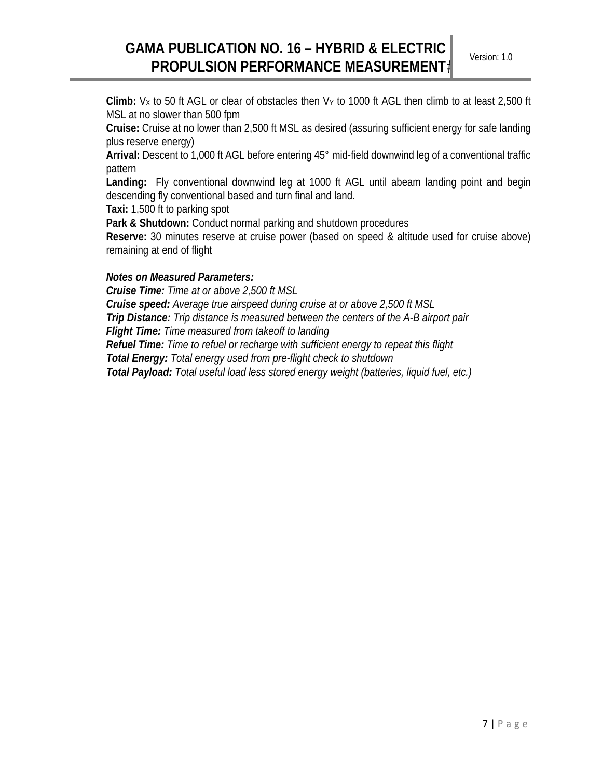**Climb:**  $V_x$  to 50 ft AGL or clear of obstacles then  $V_y$  to 1000 ft AGL then climb to at least 2,500 ft MSL at no slower than 500 fpm

**Cruise:** Cruise at no lower than 2,500 ft MSL as desired (assuring sufficient energy for safe landing plus reserve energy)

**Arrival:** Descent to 1,000 ft AGL before entering 45° mid-field downwind leg of a conventional traffic pattern

**Landing:** Fly conventional downwind leg at 1000 ft AGL until abeam landing point and begin descending fly conventional based and turn final and land.

 **Taxi:** 1,500 ft to parking spot

**Park & Shutdown:** Conduct normal parking and shutdown procedures

**Reserve:** 30 minutes reserve at cruise power (based on speed & altitude used for cruise above) remaining at end of flight

#### *Notes on Measured Parameters:*

*Cruise Time: Time at or above 2,500 ft MSL Cruise speed: Average true airspeed during cruise at or above 2,500 ft MSL Trip Distance: Trip distance is measured between the centers of the A-B airport pair Flight Time: Time measured from takeoff to landing Refuel Time: Time to refuel or recharge with sufficient energy to repeat this flight Total Energy: Total energy used from pre-flight check to shutdown Total Payload: Total useful load less stored energy weight (batteries, liquid fuel, etc.)*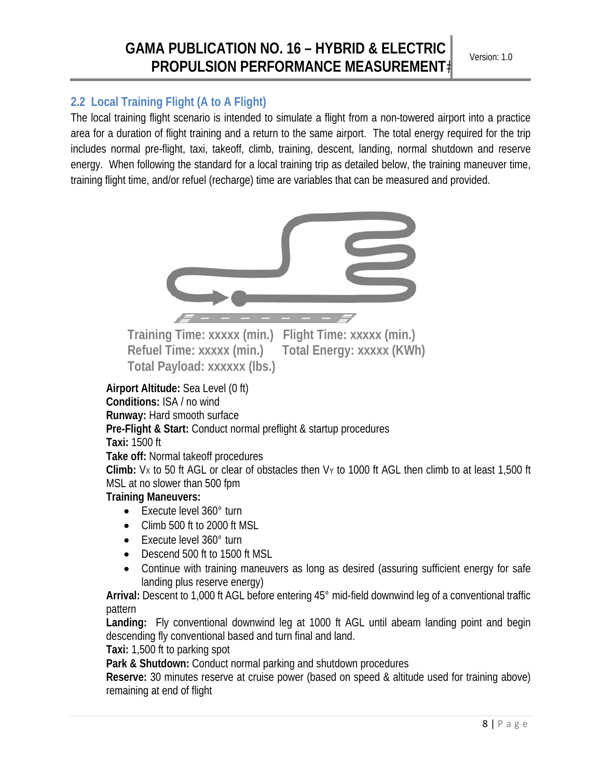#### **2.2 Local Training Flight (A to A Flight)**

The local training flight scenario is intended to simulate a flight from a non-towered airport into a practice area for a duration of flight training and a return to the same airport. The total energy required for the trip includes normal pre-flight, taxi, takeoff, climb, training, descent, landing, normal shutdown and reserve energy. When following the standard for a local training trip as detailed below, the training maneuver time, training flight time, and/or refuel (recharge) time are variables that can be measured and provided.



**Training Time: xxxxx (min.) Flight Time: xxxxx (min.) Refuel Time: xxxxx (min.) Total Energy: xxxxx (KWh) Total Payload: xxxxxx (lbs.)** 

#### **Airport Altitude:** Sea Level (0 ft)

**Conditions:** ISA / no wind **Runway:** Hard smooth surface

**Pre-Flight & Start:** Conduct normal preflight & startup procedures

#### **Taxi:** 1500 ft

**Take off:** Normal takeoff procedures

**Climb:** VX to 50 ft AGL or clear of obstacles then VY to 1000 ft AGL then climb to at least 1,500 ft MSL at no slower than 500 fpm

#### **Training Maneuvers:**

- Execute level 360° turn
- Climb 500 ft to 2000 ft MSL
- Execute level 360° turn
- Descend 500 ft to 1500 ft MSL
- Continue with training maneuvers as long as desired (assuring sufficient energy for safe landing plus reserve energy)

**Arrival:** Descent to 1,000 ft AGL before entering 45° mid-field downwind leg of a conventional traffic pattern

**Landing:** Fly conventional downwind leg at 1000 ft AGL until abeam landing point and begin descending fly conventional based and turn final and land.

**Taxi:** 1,500 ft to parking spot

**Park & Shutdown:** Conduct normal parking and shutdown procedures

**Reserve:** 30 minutes reserve at cruise power (based on speed & altitude used for training above) remaining at end of flight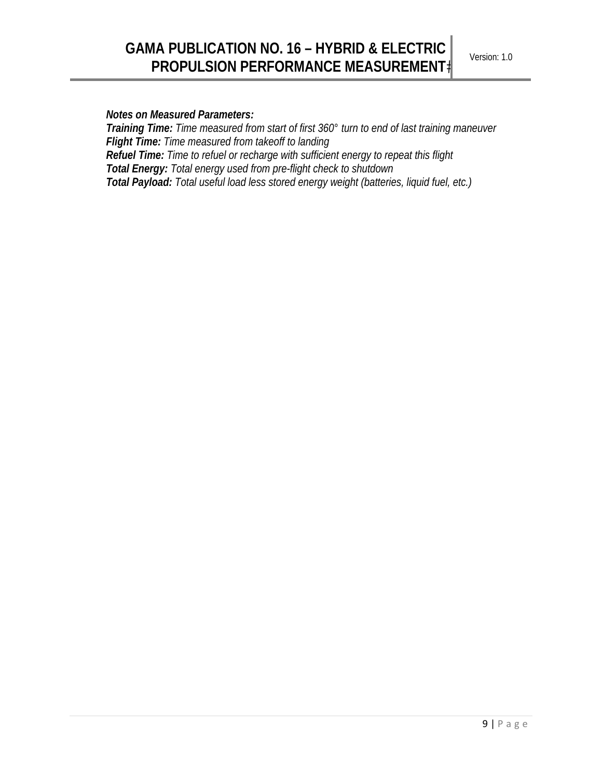#### *Notes on Measured Parameters:*

*Training Time: Time measured from start of first 360° turn to end of last training maneuver Flight Time: Time measured from takeoff to landing Refuel Time: Time to refuel or recharge with sufficient energy to repeat this flight Total Energy: Total energy used from pre-flight check to shutdown Total Payload: Total useful load less stored energy weight (batteries, liquid fuel, etc.)*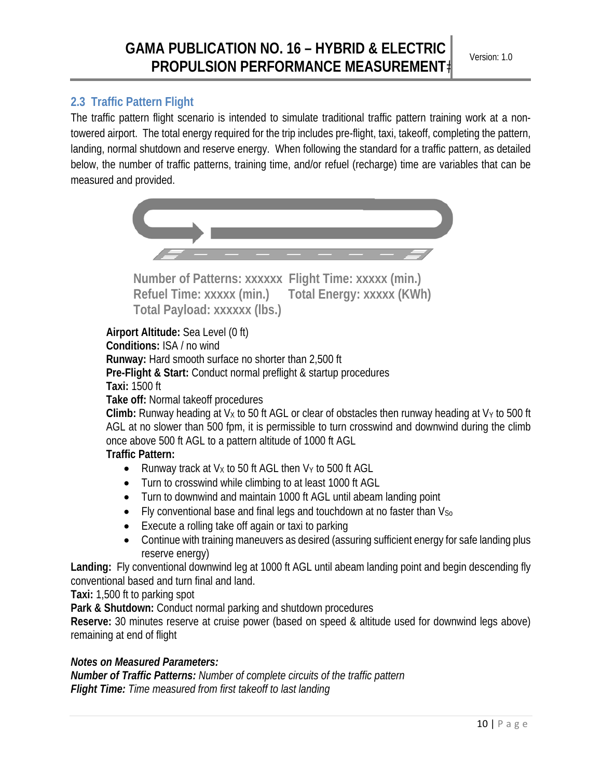#### **2.3 Traffic Pattern Flight**

The traffic pattern flight scenario is intended to simulate traditional traffic pattern training work at a nontowered airport. The total energy required for the trip includes pre-flight, taxi, takeoff, completing the pattern, landing, normal shutdown and reserve energy. When following the standard for a traffic pattern, as detailed below, the number of traffic patterns, training time, and/or refuel (recharge) time are variables that can be measured and provided.



**Number of Patterns: xxxxxx Flight Time: xxxxx (min.) Refuel Time: xxxxx (min.) Total Energy: xxxxx (KWh) Total Payload: xxxxxx (lbs.)** 

**Airport Altitude:** Sea Level (0 ft) **Conditions:** ISA / no wind **Runway:** Hard smooth surface no shorter than 2,500 ft **Pre-Flight & Start:** Conduct normal preflight & startup procedures **Taxi:** 1500 ft **Take off:** Normal takeoff procedures

**Climb:** Runway heading at  $V_x$  to 50 ft AGL or clear of obstacles then runway heading at  $V_y$  to 500 ft AGL at no slower than 500 fpm, it is permissible to turn crosswind and downwind during the climb once above 500 ft AGL to a pattern altitude of 1000 ft AGL

#### **Traffic Pattern:**

- Runway track at  $V_x$  to 50 ft AGL then  $V_y$  to 500 ft AGL
- Turn to crosswind while climbing to at least 1000 ft AGL
- Turn to downwind and maintain 1000 ft AGL until abeam landing point
- $\bullet$  Fly conventional base and final legs and touchdown at no faster than  $V_{\text{So}}$
- Execute a rolling take off again or taxi to parking
- Continue with training maneuvers as desired (assuring sufficient energy for safe landing plus reserve energy)

**Landing:** Fly conventional downwind leg at 1000 ft AGL until abeam landing point and begin descending fly conventional based and turn final and land.

**Taxi:** 1,500 ft to parking spot

**Park & Shutdown:** Conduct normal parking and shutdown procedures

**Reserve:** 30 minutes reserve at cruise power (based on speed & altitude used for downwind legs above) remaining at end of flight

#### *Notes on Measured Parameters:*

*Number of Traffic Patterns: Number of complete circuits of the traffic pattern Flight Time: Time measured from first takeoff to last landing*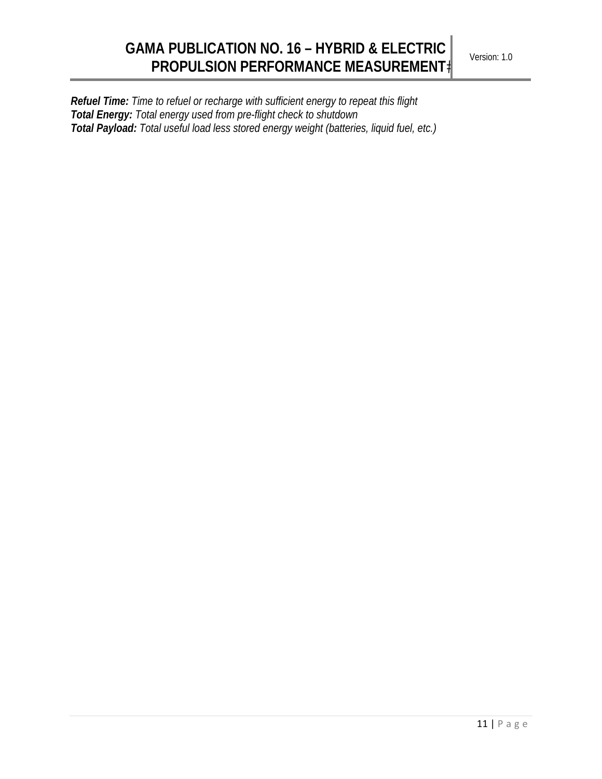*Refuel Time: Time to refuel or recharge with sufficient energy to repeat this flight Total Energy: Total energy used from pre-flight check to shutdown Total Payload: Total useful load less stored energy weight (batteries, liquid fuel, etc.)*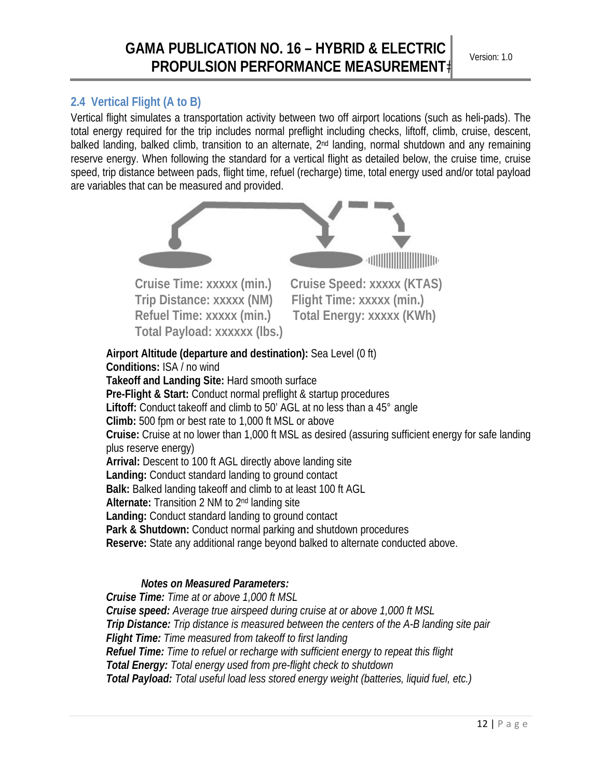### **2.4 Vertical Flight (A to B)**

Vertical flight simulates a transportation activity between two off airport locations (such as heli-pads). The total energy required for the trip includes normal preflight including checks, liftoff, climb, cruise, descent, balked landing, balked climb, transition to an alternate, 2<sup>nd</sup> landing, normal shutdown and any remaining reserve energy. When following the standard for a vertical flight as detailed below, the cruise time, cruise speed, trip distance between pads, flight time, refuel (recharge) time, total energy used and/or total payload are variables that can be measured and provided.



*Cruise Time: Time at or above 1,000 ft MSL Cruise speed: Average true airspeed during cruise at or above 1,000 ft MSL Trip Distance: Trip distance is measured between the centers of the A-B landing site pair Flight Time: Time measured from takeoff to first landing Refuel Time: Time to refuel or recharge with sufficient energy to repeat this flight Total Energy: Total energy used from pre-flight check to shutdown Total Payload: Total useful load less stored energy weight (batteries, liquid fuel, etc.)*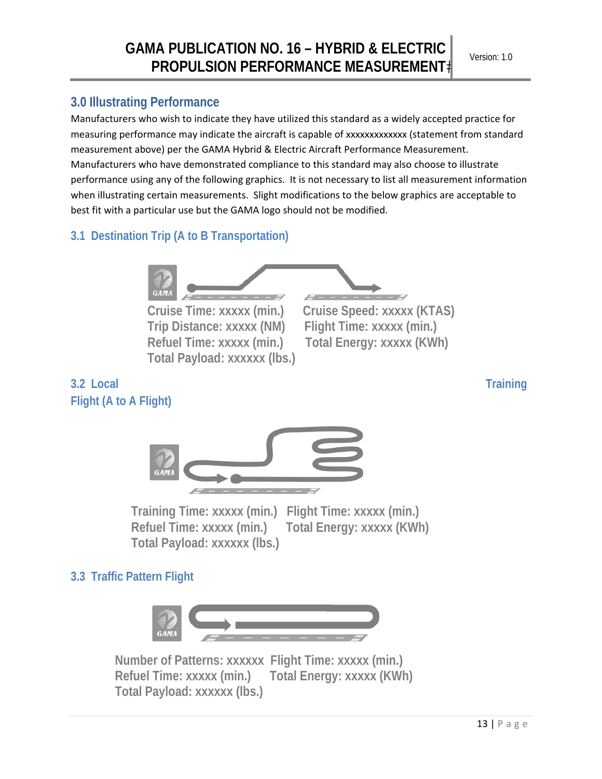## **3.0 Illustrating Performance**

Manufacturers who wish to indicate they have utilized this standard as a widely accepted practice for measuring performance may indicate the aircraft is capable of xxxxxxxxxxxxx (statement from standard measurement above) per the GAMA Hybrid & Electric Aircraft Performance Measurement. Manufacturers who have demonstrated compliance to this standard may also choose to illustrate performance using any of the following graphics. It is not necessary to list all measurement information when illustrating certain measurements. Slight modifications to the below graphics are acceptable to best fit with a particular use but the GAMA logo should not be modified.

## **3.1 Destination Trip (A to B Transportation)**



**Trip Distance: xxxxx (NM) Flight Time: xxxxx (min.) Total Payload: xxxxxx (lbs.)** 

**Cruise Time: xxxxx (min.) Cruise Speed: xxxxx (KTAS) Refuel Time: xxxxx (min.) Total Energy: xxxxx (KWh)** 

## **3.2 Local Training Flight (A to A Flight)**



**Training Time: xxxxx (min.) Flight Time: xxxxx (min.) Refuel Time: xxxxx (min.) Total Energy: xxxxx (KWh) Total Payload: xxxxxx (lbs.)** 

## **3.3 Traffic Pattern Flight**



**Number of Patterns: xxxxxx Flight Time: xxxxx (min.) Refuel Time: xxxxx (min.) Total Energy: xxxxx (KWh) Total Payload: xxxxxx (lbs.)**